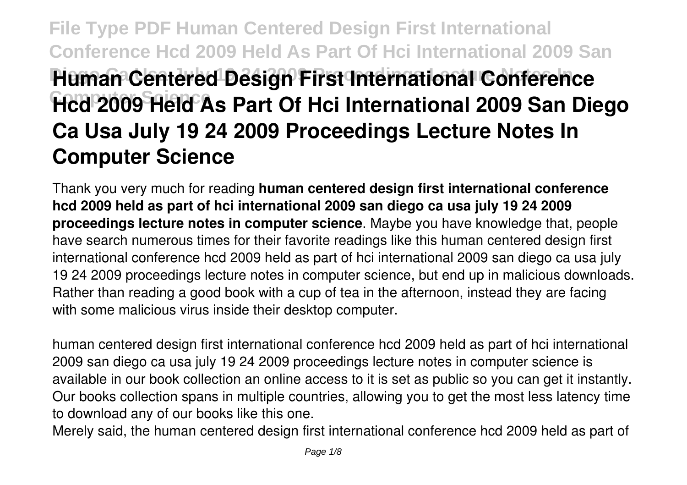# **File Type PDF Human Centered Design First International Conference Hcd 2009 Held As Part Of Hci International 2009 San Human Centered Design First International Conference Hcd 2009 Held As Part Of Hci International 2009 San Diego Ca Usa July 19 24 2009 Proceedings Lecture Notes In Computer Science**

Thank you very much for reading **human centered design first international conference hcd 2009 held as part of hci international 2009 san diego ca usa july 19 24 2009 proceedings lecture notes in computer science**. Maybe you have knowledge that, people have search numerous times for their favorite readings like this human centered design first international conference hcd 2009 held as part of hci international 2009 san diego ca usa july 19 24 2009 proceedings lecture notes in computer science, but end up in malicious downloads. Rather than reading a good book with a cup of tea in the afternoon, instead they are facing with some malicious virus inside their desktop computer.

human centered design first international conference hcd 2009 held as part of hci international 2009 san diego ca usa july 19 24 2009 proceedings lecture notes in computer science is available in our book collection an online access to it is set as public so you can get it instantly. Our books collection spans in multiple countries, allowing you to get the most less latency time to download any of our books like this one.

Merely said, the human centered design first international conference hcd 2009 held as part of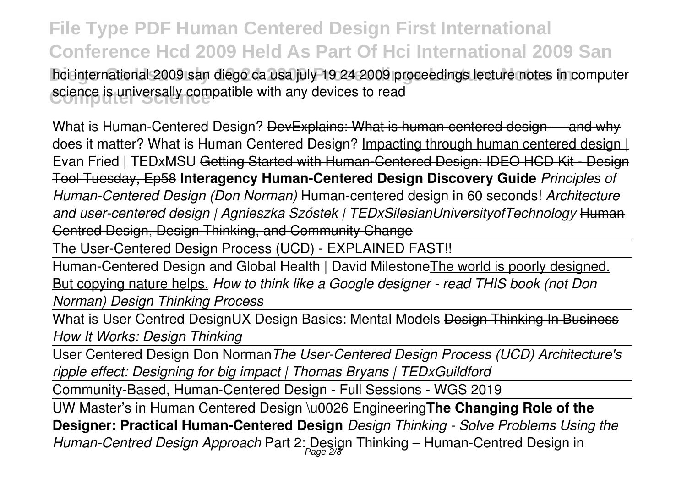**File Type PDF Human Centered Design First International Conference Hcd 2009 Held As Part Of Hci International 2009 San** hci international 2009 san diego ca usa july 19 24 2009 proceedings lecture notes in computer science is universally compatible with any devices to read

What is Human-Centered Design? DevExplains: What is human-centered design — and why does it matter? What is Human Centered Design? Impacting through human centered design | Evan Fried | TEDxMSU Getting Started with Human-Centered Design: IDEO HCD Kit - Design Tool Tuesday, Ep58 **Interagency Human-Centered Design Discovery Guide** *Principles of Human-Centered Design (Don Norman)* Human-centered design in 60 seconds! *Architecture and user-centered design | Agnieszka Szóstek | TEDxSilesianUniversityofTechnology* Human Centred Design, Design Thinking, and Community Change

The User-Centered Design Process (UCD) - EXPLAINED FAST!!

Human-Centered Design and Global Health | David Milestone The world is poorly designed. But copying nature helps. *How to think like a Google designer - read THIS book (not Don Norman) Design Thinking Process*

What is User Centred DesignUX Design Basics: Mental Models Design Thinking In Business *How It Works: Design Thinking*

User Centered Design Don Norman*The User-Centered Design Process (UCD) Architecture's ripple effect: Designing for big impact | Thomas Bryans | TEDxGuildford*

Community-Based, Human-Centered Design - Full Sessions - WGS 2019

UW Master's in Human Centered Design \u0026 Engineering**The Changing Role of the Designer: Practical Human-Centered Design** *Design Thinking - Solve Problems Using the Human-Centred Design Approach* Part 2: Design Thinking – Human-Centred Design in Page 2/8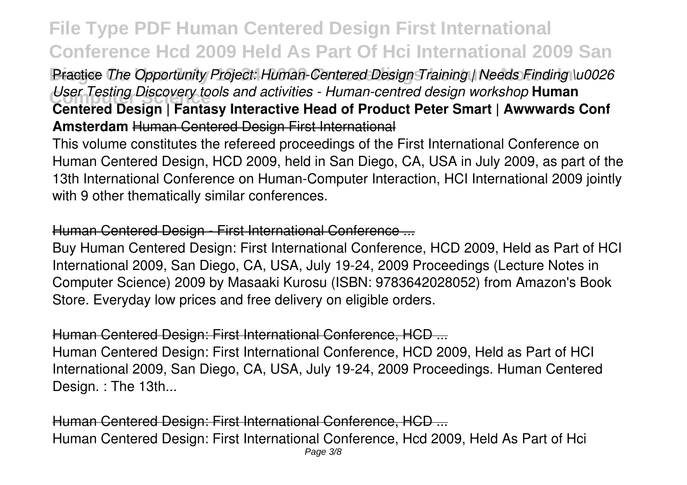### Practice *The Opportunity Project: Human-Centered Design Training | Needs Finding \u0026* User Testing Discovery tools and activities - Human-centred design workshop **Human**<br>Contained Design | Fantacy Intersetive Head of Dreduct Detay Smart | Augustuarde **Centered Design | Fantasy Interactive Head of Product Peter Smart | Awwwards Conf Amsterdam** Human Centered Design First International

This volume constitutes the refereed proceedings of the First International Conference on Human Centered Design, HCD 2009, held in San Diego, CA, USA in July 2009, as part of the 13th International Conference on Human-Computer Interaction, HCI International 2009 jointly with 9 other thematically similar conferences.

#### Human Centered Design - First International Conference ...

Buy Human Centered Design: First International Conference, HCD 2009, Held as Part of HCI International 2009, San Diego, CA, USA, July 19-24, 2009 Proceedings (Lecture Notes in Computer Science) 2009 by Masaaki Kurosu (ISBN: 9783642028052) from Amazon's Book Store. Everyday low prices and free delivery on eligible orders.

#### Human Centered Design: First International Conference, HCD ...

Human Centered Design: First International Conference, HCD 2009, Held as Part of HCI International 2009, San Diego, CA, USA, July 19-24, 2009 Proceedings. Human Centered Design. : The 13th...

Human Centered Design: First International Conference, HCD ... Human Centered Design: First International Conference, Hcd 2009, Held As Part of Hci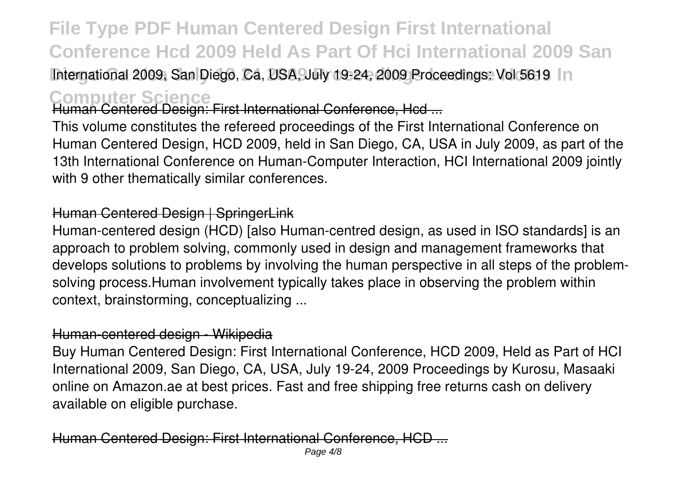International 2009, San Diego, Ca, USA, July 19-24, 2009 Proceedings: Vol 5619 In

**Computer Science** Human Centered Design: First International Conference, Hcd ...

This volume constitutes the refereed proceedings of the First International Conference on Human Centered Design, HCD 2009, held in San Diego, CA, USA in July 2009, as part of the 13th International Conference on Human-Computer Interaction, HCI International 2009 jointly with 9 other thematically similar conferences.

### Human Centered Design | SpringerLink

Human-centered design (HCD) [also Human-centred design, as used in ISO standards] is an approach to problem solving, commonly used in design and management frameworks that develops solutions to problems by involving the human perspective in all steps of the problemsolving process.Human involvement typically takes place in observing the problem within context, brainstorming, conceptualizing ...

#### Human-centered design - Wikipedia

Buy Human Centered Design: First International Conference, HCD 2009, Held as Part of HCI International 2009, San Diego, CA, USA, July 19-24, 2009 Proceedings by Kurosu, Masaaki online on Amazon.ae at best prices. Fast and free shipping free returns cash on delivery available on eligible purchase.

Human Centered Design: First International Conference.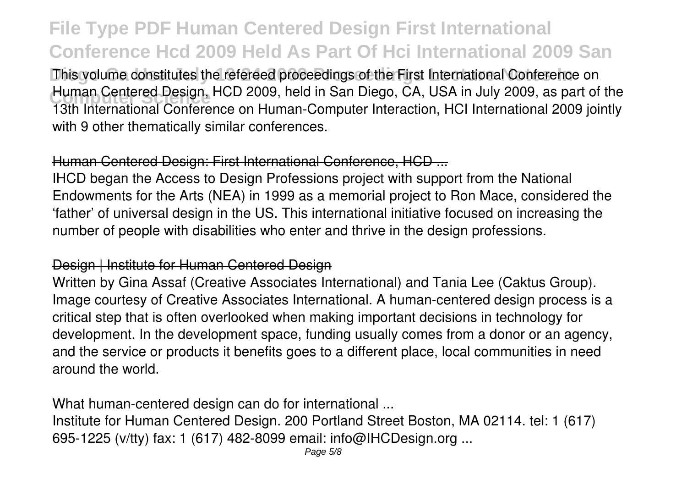This volume constitutes the refereed proceedings of the First International Conference on Human Centered Design, HCD 2009, held in San Diego, CA, USA in July 2009, as part of the<br>19th International Centerance on Human Cemputer International ICL International 2000 inintly 13th International Conference on Human-Computer Interaction, HCI International 2009 jointly with 9 other thematically similar conferences.

#### Human Centered Design: First International Conference, HCD ...

IHCD began the Access to Design Professions project with support from the National Endowments for the Arts (NEA) in 1999 as a memorial project to Ron Mace, considered the 'father' of universal design in the US. This international initiative focused on increasing the number of people with disabilities who enter and thrive in the design professions.

#### Design | Institute for Human Centered Design

Written by Gina Assaf (Creative Associates International) and Tania Lee (Caktus Group). Image courtesy of Creative Associates International. A human-centered design process is a critical step that is often overlooked when making important decisions in technology for development. In the development space, funding usually comes from a donor or an agency, and the service or products it benefits goes to a different place, local communities in need around the world.

#### What human-centered design can do for international ...

Institute for Human Centered Design. 200 Portland Street Boston, MA 02114. tel: 1 (617) 695-1225 (v/tty) fax: 1 (617) 482-8099 email: info@IHCDesign.org ...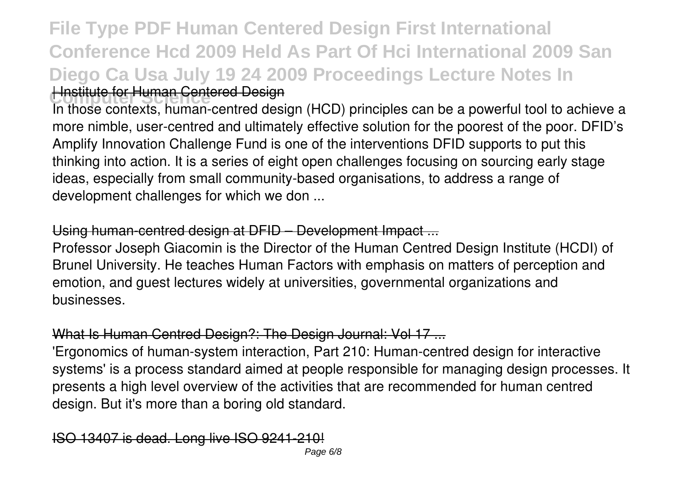## **File Type PDF Human Centered Design First International Conference Hcd 2009 Held As Part Of Hci International 2009 San Diego Ca Usa July 19 24 2009 Proceedings Lecture Notes In Hnstitute for Human Centered Design**

In those contexts, human-centred design (HCD) principles can be a powerful tool to achieve a more nimble, user-centred and ultimately effective solution for the poorest of the poor. DFID's Amplify Innovation Challenge Fund is one of the interventions DFID supports to put this thinking into action. It is a series of eight open challenges focusing on sourcing early stage ideas, especially from small community-based organisations, to address a range of development challenges for which we don ...

#### Using human-centred design at DFID – Development Impact ...

Professor Joseph Giacomin is the Director of the Human Centred Design Institute (HCDI) of Brunel University. He teaches Human Factors with emphasis on matters of perception and emotion, and guest lectures widely at universities, governmental organizations and businesses.

#### What Is Human Centred Design?: The Design Journal: Vol 17 ...

'Ergonomics of human-system interaction, Part 210: Human-centred design for interactive systems' is a process standard aimed at people responsible for managing design processes. It presents a high level overview of the activities that are recommended for human centred design. But it's more than a boring old standard.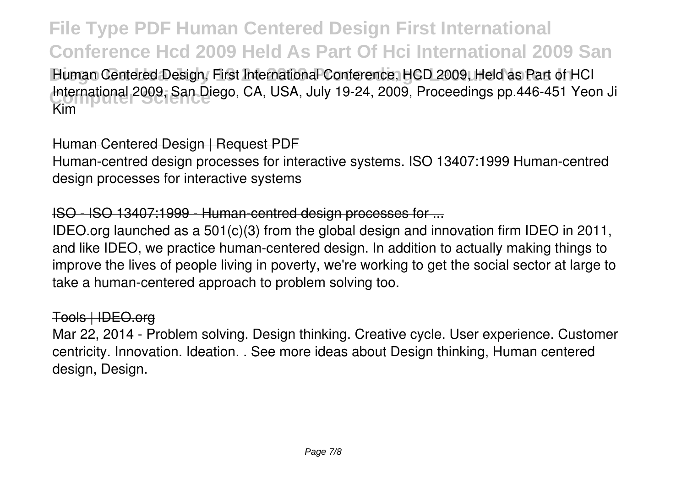Human Centered Design, First International Conference, HCD 2009, Held as Part of HCI International 2009, San Diego, CA, USA, July 19-24, 2009, Proceedings pp.446-451 Yeon Ji<br>Vim Kim

#### Human Centered Design | Request PDF

Human-centred design processes for interactive systems. ISO 13407:1999 Human-centred design processes for interactive systems

#### ISO - ISO 13407:1999 - Human-centred design processes for ...

IDEO.org launched as a 501(c)(3) from the global design and innovation firm IDEO in 2011, and like IDEO, we practice human-centered design. In addition to actually making things to improve the lives of people living in poverty, we're working to get the social sector at large to take a human-centered approach to problem solving too.

#### Tools | IDEO.org

Mar 22, 2014 - Problem solving. Design thinking. Creative cycle. User experience. Customer centricity. Innovation. Ideation. . See more ideas about Design thinking, Human centered design, Design.